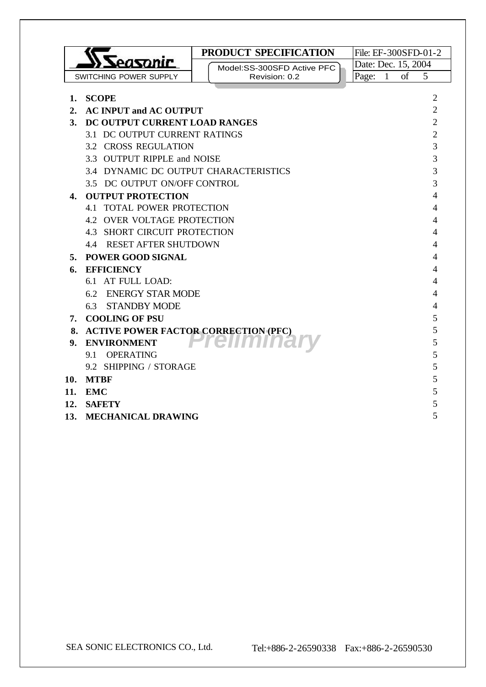|                                         | PRODUCT SPECIFICATION                    |                         | File: EF-300SFD-01-2 |  |
|-----------------------------------------|------------------------------------------|-------------------------|----------------------|--|
| easonir                                 | Model:SS-300SFD Active PFC               | Date: Dec. 15, 2004     |                      |  |
| SWITCHING POWER SUPPLY                  | Revision: 0.2                            | $\overline{1}$<br>Page: | of<br>5              |  |
| 1. SCOPE                                |                                          |                         | 2                    |  |
| 2.<br><b>AC INPUT and AC OUTPUT</b>     |                                          |                         | $\overline{2}$       |  |
| DC OUTPUT CURRENT LOAD RANGES<br>3.     |                                          |                         | $\overline{2}$       |  |
| 3.1 DC OUTPUT CURRENT RATINGS           |                                          |                         | $\overline{2}$       |  |
| <b>3.2 CROSS REGULATION</b>             |                                          |                         | 3                    |  |
| 3.3 OUTPUT RIPPLE and NOISE             |                                          |                         | 3                    |  |
| 3.4 DYNAMIC DC OUTPUT CHARACTERISTICS   |                                          |                         | 3                    |  |
| 3.5 DC OUTPUT ON/OFF CONTROL            |                                          |                         | 3                    |  |
| <b>OUTPUT PROTECTION</b><br>4.          |                                          |                         | 4                    |  |
|                                         | <b>4.1 TOTAL POWER PROTECTION</b><br>4   |                         |                      |  |
|                                         | <b>4.2 OVER VOLTAGE PROTECTION</b><br>4  |                         |                      |  |
|                                         | <b>4.3 SHORT CIRCUIT PROTECTION</b><br>4 |                         |                      |  |
|                                         | <b>4.4 RESET AFTER SHUTDOWN</b><br>4     |                         |                      |  |
| <b>POWER GOOD SIGNAL</b><br>5.          | 4                                        |                         |                      |  |
| <b>EFFICIENCY</b><br>6.                 |                                          |                         | 4                    |  |
| 6.1 AT FULL LOAD:                       |                                          |                         | 4                    |  |
| 6.2                                     | <b>ENERGY STAR MODE</b>                  |                         | 4                    |  |
| <b>STANDBY MODE</b><br>6.3              |                                          |                         | 4                    |  |
| 7. COOLING OF PSU                       |                                          |                         | 5                    |  |
| 8. ACTIVE POWER FACTOR CORRECTION (PFC) |                                          |                         | 5                    |  |
| <b>ENVIRONMENT</b><br>9.                |                                          |                         | 5                    |  |
| <b>OPERATING</b><br>9.1                 |                                          |                         | 5                    |  |
| 9.2 SHIPPING / STORAGE                  |                                          |                         | 5                    |  |
| <b>MTBF</b><br>10.                      |                                          |                         | 5                    |  |
| 11.<br><b>EMC</b>                       |                                          |                         | 5                    |  |
| 12.<br><b>SAFETY</b>                    |                                          |                         | 5                    |  |
| <b>MECHANICAL DRAWING</b><br>13.        |                                          |                         | 5                    |  |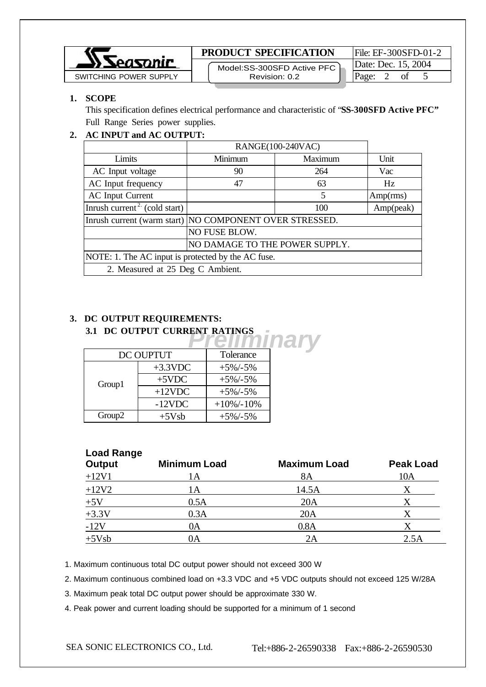

### **PRODUCT SPECIFICATION** File: EF-300SFD-01-2

 Model:SS-300SFD Active PFC Revision: 0.2

Date: Dec. 15, 2004

## **1. SCOPE**

This specification defines electrical performance and characteristic of "**SS-300SFD Active PFC"** Full Range Series power supplies.

# **2. AC INPUT and AC OUTPUT:**

|                                                    | RANGE(100-240VAC)                                         |         |           |
|----------------------------------------------------|-----------------------------------------------------------|---------|-----------|
| Limits                                             | Minimum                                                   | Maximum | Unit      |
| AC Input voltage                                   | 90                                                        | 264     | Vac       |
| AC Input frequency                                 | 47                                                        | 63      | Hz        |
| <b>AC</b> Input Current                            |                                                           | 5       | Amp(rms)  |
| Inrush current <sup>2</sup> (cold start)           |                                                           | 100     | Amp(peak) |
|                                                    | Inrush current (warm start)   NO COMPONENT OVER STRESSED. |         |           |
|                                                    | NO FUSE BLOW.                                             |         |           |
|                                                    | NO DAMAGE TO THE POWER SUPPLY.                            |         |           |
| NOTE: 1. The AC input is protected by the AC fuse. |                                                           |         |           |
| 2. Measured at 25 Deg C Ambient.                   |                                                           |         |           |

### **3. DC OUTPUT REQUIREMENTS: 3.1 DC OUTPUT CURRENT RATINGS**

| 3.1 DC OUTPUT CURRENT RATINGS |            |                |       |  |
|-------------------------------|------------|----------------|-------|--|
|                               |            |                | 11211 |  |
| <b>DC OUPTUT</b>              |            |                |       |  |
|                               | $+3.3$ VDC | $+5\% - 5\%$   |       |  |
| Group1                        | $+5$ VDC   | $+5\% - 5\%$   |       |  |
|                               | $+12$ VDC  | $+5\% - 5\%$   |       |  |
|                               | $-12$ VDC  | $+10\% - 10\%$ |       |  |
| Group <sub>2</sub>            | $+5Vsb$    | $+5\% - 5\%$   |       |  |

# **Load Range Output Minimum Load Maximum Load Peak Load**  $+12V1$  1A 8A 10A  $+12V2$  1A 14.5A X  $+5V$  0.5A 20A X  $+3.3V$  0.3A 20A X  $-12V$  0A 0.8A X  $+5Vsb$  0A 2A 2.5A

1. Maximum continuous total DC output power should not exceed 300 W

2. Maximum continuous combined load on +3.3 VDC and +5 VDC outputs should not exceed 125 W/28A

3. Maximum peak total DC output power should be approximate 330 W.

4. Peak power and current loading should be supported for a minimum of 1 second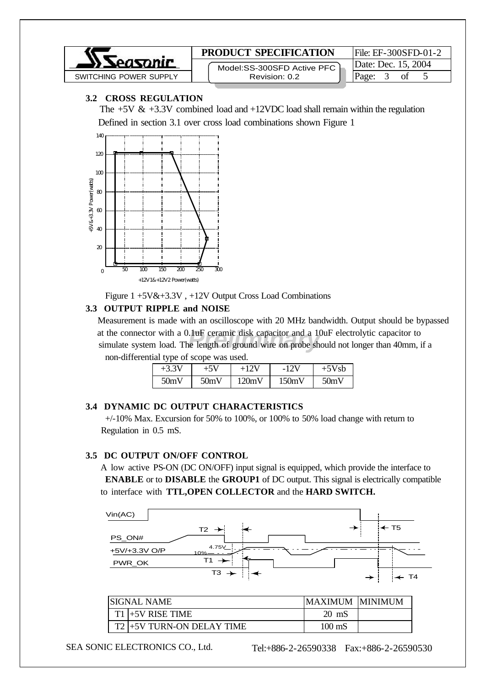

### **3.2 CROSS REGULATION**

The  $+5V \& +3.3V$  combined load and  $+12VDC$  load shall remain within the regulation Defined in section 3.1 over cross load combinations shown Figure 1



Figure 1 +5V&+3.3V , +12V Output Cross Load Combinations

#### **3.3 OUTPUT RIPPLE and NOISE**

at the connector with a 0.1uF ceramic disk capacitor and a 10uF electrolytic capacitor to simulate system load. The length of ground wire on probe should not longer than 40mm, if a Measurement is made with an oscilloscope with 20 MHz bandwidth. Output should be bypassed at the connector with a 0.1uF ceramic disk capacitor and a 10uF electrolytic capacitor to non-differential type of scope was used.

| $+3.5$ |      |       | $-12V$ | 5Vsb |
|--------|------|-------|--------|------|
| 50mV   | 50mV | 120mV | 150mV  | 50mV |

#### **3.4 DYNAMIC DC OUTPUT CHARACTERISTICS**

 +/-10% Max. Excursion for 50% to 100%, or 100% to 50% load change with return to Regulation in 0.5 mS.

#### **3.5 DC OUTPUT ON/OFF CONTROL**

 A low active PS-ON (DC ON/OFF) input signal is equipped, which provide the interface to **ENABLE** or to **DISABLE** the **GROUP1** of DC output. This signal is electrically compatible to interface with **TTL,OPEN COLLECTOR** and the **HARD SWITCH.**



| ISIGNAL NAME |                           | <b>MAXIMUM</b>  | IMINIMUM. |
|--------------|---------------------------|-----------------|-----------|
|              | $T1$ +5V RISE TIME        | $20 \text{ mS}$ |           |
|              | T2 -5V TURN-ON DELAY TIME | 100 mS          |           |

SEA SONIC ELECTRONICS CO., Ltd. Tel:+886-2-26590338 Fax:+886-2-26590530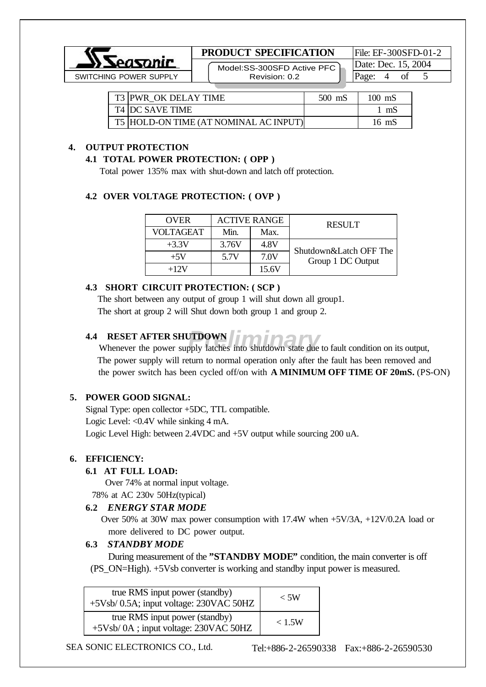

## **PRODUCT SPECIFICATION** File: EF-300SFD-01-2

 Model:SS-300SFD Active PFC Revision: 0.2

Date: Dec. 15, 2004

| T3 PWR OK DELAY TIME                  | $500$ mS | $100 \text{ mS}$ |
|---------------------------------------|----------|------------------|
| <b>T4 DC SAVE TIME</b>                |          | mS               |
| T5 HOLD-ON TIME (AT NOMINAL AC INPUT) |          | 16 mS            |

# **4. OUTPUT PROTECTION**

#### **4.1 TOTAL POWER PROTECTION: ( OPP )**

Total power 135% max with shut-down and latch off protection.

#### **4.2 OVER VOLTAGE PROTECTION: ( OVP )**

| <b>OVER</b>      | <b>ACTIVE RANGE</b> |       | <b>RESULT</b>          |
|------------------|---------------------|-------|------------------------|
| <b>VOLTAGEAT</b> | Min.                | Max.  |                        |
| $+3.3V$          | 3.76V               | 4.8V  | Shutdown&Latch OFF The |
| $+5V$            | 5.7V                | 7.0V  | Group 1 DC Output      |
| $+12V$           |                     | 15.6V |                        |

## **4.3 SHORT CIRCUIT PROTECTION: ( SCP )**

 The short between any output of group 1 will shut down all group1. The short at group 2 will Shut down both group 1 and group 2.

## **4.4 RESET AFTER SHUTDOWN**

**PRELIMINARY RESET AFTER SHUTDOWN**<br>
Whenever the power supply latches into shutdown state due to fault condition on its output, The power supply will return to normal operation only after the fault has been removed and the power switch has been cycled off/on with **A MINIMUM OFF TIME OF 20mS.** (PS-ON)

## **5. POWER GOOD SIGNAL:**

Signal Type: open collector +5DC, TTL compatible. Logic Level: <0.4V while sinking 4 mA. Logic Level High: between 2.4VDC and +5V output while sourcing 200 uA.

## **6. EFFICIENCY:**

## **6.1 AT FULL LOAD:**

Over 74% at normal input voltage.

78% at AC 230v 50Hz(typical)

## **6.2** *ENERGY STAR MODE*

 Over 50% at 30W max power consumption with 17.4W when +5V/3A, +12V/0.2A load or more delivered to DC power output.

## **6.3** *STANDBY MODE*

During measurement of the **"STANDBY MODE"** condition, the main converter is off (PS\_ON=High). +5Vsb converter is working and standby input power is measured.

| true RMS input power (standby)<br>+5Vsb/ 0.5A; input voltage: 230VAC 50HZ | $\rm < 5W$ |
|---------------------------------------------------------------------------|------------|
| true RMS input power (standby)<br>+5Vsb/0A; input voltage: 230VAC 50HZ    | < 1.5W     |

SEA SONIC ELECTRONICS CO., Ltd. Tel:+886-2-26590338 Fax:+886-2-26590530